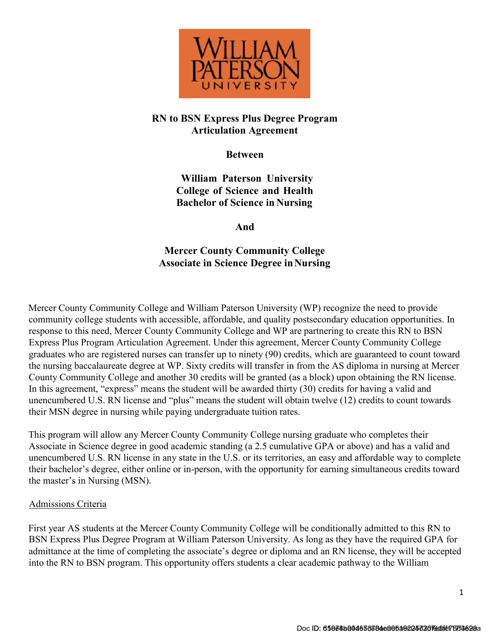

## **RN to BSN Express Plus Degree Program Articulation Agreement**

**Between**

**William Paterson University College of Science and Health Bachelor of Science in Nursing**

**And**

# **Mercer County Community College Associate in Science Degree inNursing**

Mercer County Community College and William Paterson University (WP) recognize the need to provide community college students with accessible, affordable, and quality postsecondary education opportunities. In response to this need, Mercer County Community College and WP are partnering to create this RN to BSN Express Plus Program Articulation Agreement. Under this agreement, Mercer County Community College graduates who are registered nurses can transfer up to ninety (90) credits, which are guaranteed to count toward the nursing baccalaureate degree at WP. Sixty credits will transfer in from the AS diploma in nursing at Mercer County Community College and another 30 credits will be granted (as a block) upon obtaining the RN license. In this agreement, "express" means the student will be awarded thirty (30) credits for having a valid and unencumbered U.S. RN license and "plus" means the student will obtain twelve (12) credits to count towards their MSN degree in nursing while paying undergraduate tuition rates.

This program will allow any Mercer County Community College nursing graduate who completes their Associate in Science degree in good academic standing (a 2.5 cumulative GPA or above) and has a valid and unencumbered U.S. RN license in any state in the U.S. or its territories, an easy and affordable way to complete their bachelor's degree, either online or in-person, with the opportunity for earning simultaneous credits toward the master's in Nursing (MSN).

### Admissions Criteria

First year AS students at the Mercer County Community College will be conditionally admitted to this RN to BSN Express Plus Degree Program at William Paterson University. As long as they have the required GPA for admittance at the time of completing the associate's degree or diploma and an RN license, they will be accepted into the RN to BSN program. This opportunity offers students a clear academic pathway to the William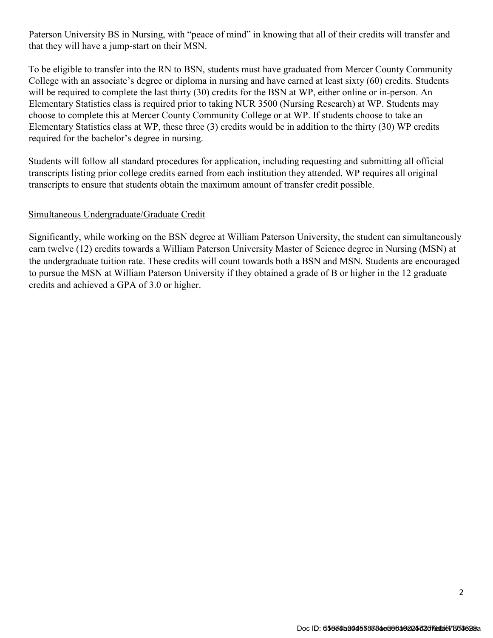Paterson University BS in Nursing, with "peace of mind" in knowing that all of their credits will transfer and that they will have a jump-start on their MSN.

To be eligible to transfer into the RN to BSN, students must have graduated from Mercer County Community College with an associate's degree or diploma in nursing and have earned at least sixty (60) credits. Students will be required to complete the last thirty (30) credits for the BSN at WP, either online or in-person. An Elementary Statistics class is required prior to taking NUR 3500 (Nursing Research) at WP. Students may choose to complete this at Mercer County Community College or at WP. If students choose to take an Elementary Statistics class at WP, these three (3) credits would be in addition to the thirty (30) WP credits required for the bachelor's degree in nursing.

Students will follow all standard procedures for application, including requesting and submitting all official transcripts listing prior college credits earned from each institution they attended. WP requires all original transcripts to ensure that students obtain the maximum amount of transfer credit possible.

#### Simultaneous Undergraduate/Graduate Credit

Significantly, while working on the BSN degree at William Paterson University, the student can simultaneously earn twelve (12) credits towards a William Paterson University Master of Science degree in Nursing (MSN) at the undergraduate tuition rate. These credits will count towards both a BSN and MSN. Students are encouraged to pursue the MSN at William Paterson University if they obtained a grade of B or higher in the 12 graduate credits and achieved a GPA of 3.0 or higher.